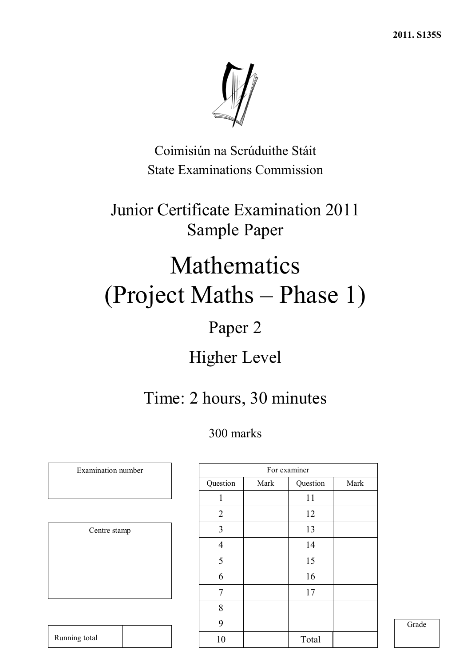**2011. S135S**



Coimisiún na Scrúduithe Stáit State Examinations Commission

Junior Certificate Examination 2011 Sample Paper

# Mathematics (Project Maths – Phase 1)

## Paper 2

## Higher Level

## Time: 2 hours, 30 minutes

## 300 marks

| Centre stamp |
|--------------|
|              |
|              |
|              |
|              |
|              |
|              |

Running total

Examination number

|                |      | For examiner |      |
|----------------|------|--------------|------|
| Question       | Mark | Question     | Mark |
| 1              |      | 11           |      |
| $\overline{2}$ |      | 12           |      |
| 3              |      | 13           |      |
| $\overline{4}$ |      | 14           |      |
| 5              |      | 15           |      |
| 6              |      | 16           |      |
| 7              |      | 17           |      |
| 8              |      |              |      |
| 9              |      |              |      |
| 10             |      | Total        |      |

Grade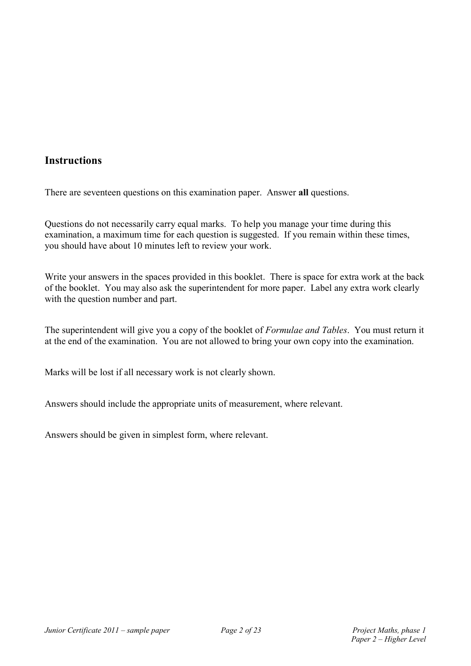### **Instructions**

There are seventeen questions on this examination paper. Answer **all** questions.

Questions do not necessarily carry equal marks. To help you manage your time during this examination, a maximum time for each question is suggested. If you remain within these times, you should have about 10 minutes left to review your work.

Write your answers in the spaces provided in this booklet. There is space for extra work at the back of the booklet. You may also ask the superintendent for more paper. Label any extra work clearly with the question number and part.

The superintendent will give you a copy of the booklet of *Formulae and Tables*. You must return it at the end of the examination. You are not allowed to bring your own copy into the examination.

Marks will be lost if all necessary work is not clearly shown.

Answers should include the appropriate units of measurement, where relevant.

Answers should be given in simplest form, where relevant.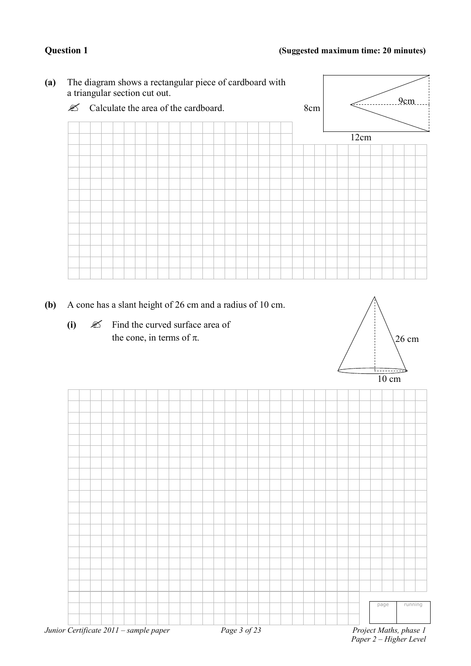

- **(b)** A cone has a slant height of 26 cm and a radius of 10 cm.
	- $(i)$   $\&$  Find the curved surface area of the cone, in terms of  $\pi$ .



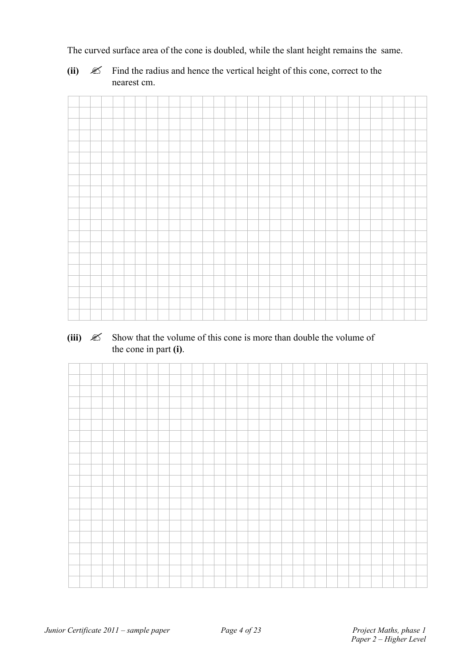The curved surface area of the cone is doubled, while the slant height remains the same.

**(ii)**  $\mathscr{\mathscr{L}}$  Find the radius and hence the vertical height of this cone, correct to the nearest cm.

### (iii)  $\mathscr{\mathscr{L}}$  Show that the volume of this cone is more than double the volume of the cone in part **(i)**.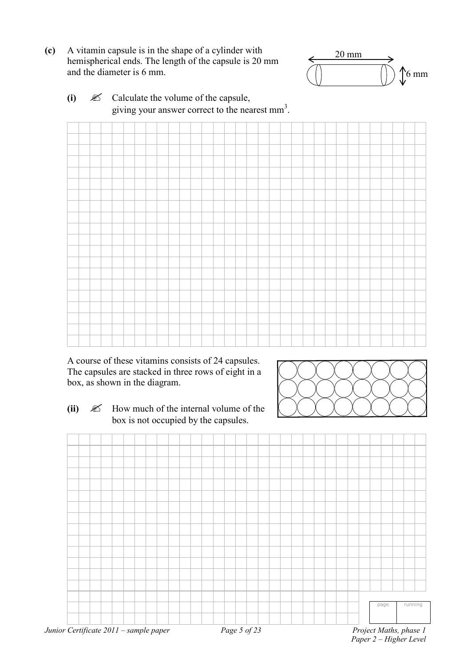**(c)** A vitamin capsule is in the shape of a cylinder with hemispherical ends. The length of the capsule is 20 mm and the diameter is 6 mm.



**(i)** Calculate the volume of the capsule, giving your answer correct to the nearest  $mm<sup>3</sup>$ .



A course of these vitamins consists of 24 capsules. The capsules are stacked in three rows of eight in a box, as shown in the diagram.

**(ii)**  $\mathscr{\mathscr{L}}$  How much of the internal volume of the box is not occupied by the capsules.





*Paper 2 – Higher Level*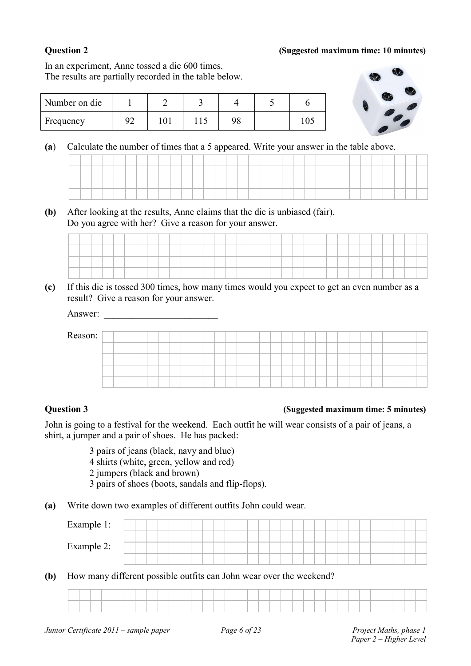### **Question 2 (Suggested maximum time: 10 minutes)**

In an experiment, Anne tossed a die 600 times. The results are partially recorded in the table below.

| Number on die |                         |  |    |  |
|---------------|-------------------------|--|----|--|
| Frequency     | $\mathcal{Q}^{\bullet}$ |  | 98 |  |



**(a**) Calculate the number of times that a 5 appeared. Write your answer in the table above.

**(b)** After looking at the results, Anne claims that the die is unbiased (fair). Do you agree with her? Give a reason for your answer.

**(c)** If this die is tossed 300 times, how many times would you expect to get an even number as a result? Give a reason for your answer.

| Answer: |  |  |  |  |  |  |  |  |  |  |  |  |  |  |  |
|---------|--|--|--|--|--|--|--|--|--|--|--|--|--|--|--|
| Reason: |  |  |  |  |  |  |  |  |  |  |  |  |  |  |  |
|         |  |  |  |  |  |  |  |  |  |  |  |  |  |  |  |
|         |  |  |  |  |  |  |  |  |  |  |  |  |  |  |  |
|         |  |  |  |  |  |  |  |  |  |  |  |  |  |  |  |
|         |  |  |  |  |  |  |  |  |  |  |  |  |  |  |  |

### **Question 3 (Suggested maximum time: 5 minutes)**

John is going to a festival for the weekend. Each outfit he will wear consists of a pair of jeans, a shirt, a jumper and a pair of shoes. He has packed:

3 pairs of jeans (black, navy and blue)

4 shirts (white, green, yellow and red)

2 jumpers (black and brown)

3 pairs of shoes (boots, sandals and flip-flops).

**(a)** Write down two examples of different outfits John could wear.

| Example 1: |  |  |  |  |  |  |  |  |  |  |  |  |  |  |
|------------|--|--|--|--|--|--|--|--|--|--|--|--|--|--|
|            |  |  |  |  |  |  |  |  |  |  |  |  |  |  |
| Example 2: |  |  |  |  |  |  |  |  |  |  |  |  |  |  |
|            |  |  |  |  |  |  |  |  |  |  |  |  |  |  |

**(b)** How many different possible outfits can John wear over the weekend?

| the contract of the contract of the | the contract of the contract of the contract of the contract of the contract of |  |  |  |  | the contract of the contract of the contract of the contract of | the contract of the contract of |  |  |  |  |  |  |  |  |  |
|-------------------------------------|---------------------------------------------------------------------------------|--|--|--|--|-----------------------------------------------------------------|---------------------------------|--|--|--|--|--|--|--|--|--|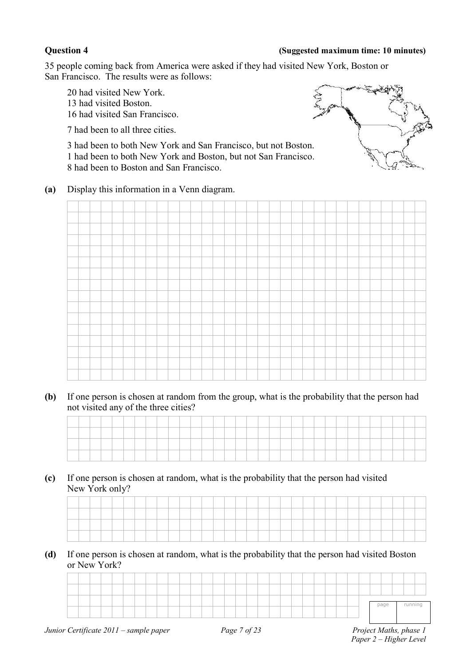### **Question 4 (Suggested maximum time: 10 minutes)**

35 people coming back from America were asked if they had visited New York, Boston or San Francisco. The results were as follows:

20 had visited New York. 13 had visited Boston. 16 had visited San Francisco.

7 had been to all three cities.

3 had been to both New York and San Francisco, but not Boston. 1 had been to both New York and Boston, but not San Francisco. 8 had been to Boston and San Francisco.



**(a)** Display this information in a Venn diagram.



**(b)** If one person is chosen at random from the group, what is the probability that the person had not visited any of the three cities?

**(c)** If one person is chosen at random, what is the probability that the person had visited New York only?

**(d)** If one person is chosen at random, what is the probability that the person had visited Boston or New York?

| running<br>page |  |  |  |  |  |  |  |  |  |  |  |  |  |  |  |  |
|-----------------|--|--|--|--|--|--|--|--|--|--|--|--|--|--|--|--|
|                 |  |  |  |  |  |  |  |  |  |  |  |  |  |  |  |  |
|                 |  |  |  |  |  |  |  |  |  |  |  |  |  |  |  |  |
|                 |  |  |  |  |  |  |  |  |  |  |  |  |  |  |  |  |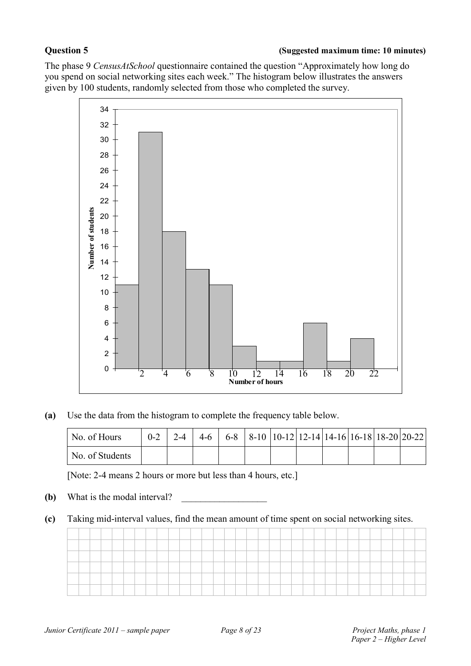The phase 9 *CensusAtSchool* questionnaire contained the question "Approximately how long do you spend on social networking sites each week." The histogram below illustrates the answers given by 100 students, randomly selected from those who completed the survey.



**(a)** Use the data from the histogram to complete the frequency table below.

| No. of Hours    |  |  |  |  |  | $0-2$   2-4   4-6   6-8   8-10   10-12   12-14   14-16   16-18   18-20   20-22 |
|-----------------|--|--|--|--|--|--------------------------------------------------------------------------------|
| No. of Students |  |  |  |  |  |                                                                                |

[Note: 2-4 means 2 hours or more but less than 4 hours, etc.]

- **(b)** What is the modal interval?
- **(c)** Taking mid-interval values, find the mean amount of time spent on social networking sites.

| the control of the control of |  |  |  |  |  |  |  |  |  |  |  |  |  |  | ______  |  |
|-------------------------------|--|--|--|--|--|--|--|--|--|--|--|--|--|--|---------|--|
|                               |  |  |  |  |  |  |  |  |  |  |  |  |  |  | _______ |  |
|                               |  |  |  |  |  |  |  |  |  |  |  |  |  |  |         |  |
|                               |  |  |  |  |  |  |  |  |  |  |  |  |  |  |         |  |
|                               |  |  |  |  |  |  |  |  |  |  |  |  |  |  |         |  |
|                               |  |  |  |  |  |  |  |  |  |  |  |  |  |  |         |  |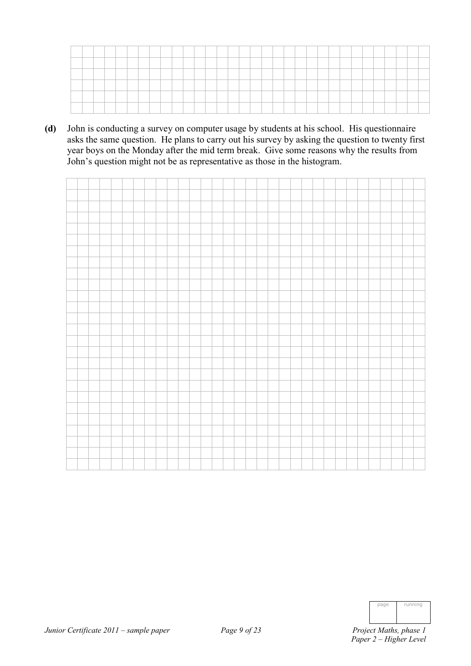| ____                |  |          |       |  |          |  |  | ______ |                                                                                                                 |  |  |  |  |  |  |  |  |
|---------------------|--|----------|-------|--|----------|--|--|--------|-----------------------------------------------------------------------------------------------------------------|--|--|--|--|--|--|--|--|
| <b>Brown Common</b> |  | ________ | _____ |  | ________ |  |  |        | the contract of the contract of the contract of the contract of the contract of the contract of the contract of |  |  |  |  |  |  |  |  |
|                     |  |          |       |  |          |  |  |        |                                                                                                                 |  |  |  |  |  |  |  |  |
|                     |  |          |       |  |          |  |  |        |                                                                                                                 |  |  |  |  |  |  |  |  |
|                     |  |          |       |  |          |  |  |        |                                                                                                                 |  |  |  |  |  |  |  |  |

**(d)** John is conducting a survey on computer usage by students at his school. His questionnaire asks the same question. He plans to carry out his survey by asking the question to twenty first year boys on the Monday after the mid term break. Give some reasons why the results from John's question might not be as representative as those in the histogram.

| page | running |
|------|---------|
|      |         |
|      |         |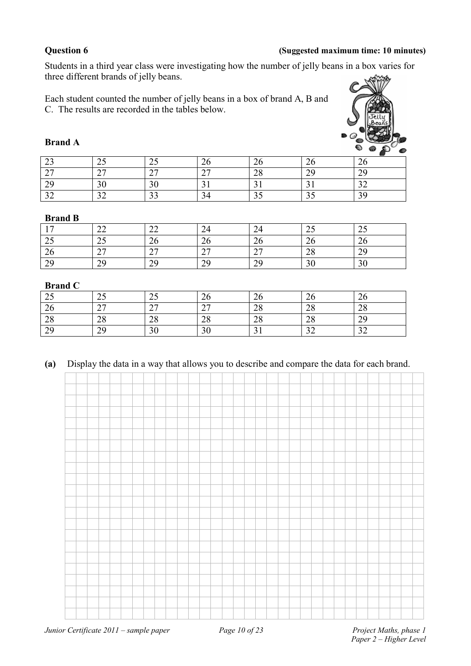### **Question 6 (Suggested maximum time: 10 minutes)**

Students in a third year class were investigating how the number of jelly beans in a box varies for three different brands of jelly beans.

Each student counted the number of jelly beans in a box of brand A, B and C. The results are recorded in the tables below.



### **Brand A**

|               |                                    |                |                    |                             |                      | -                |
|---------------|------------------------------------|----------------|--------------------|-----------------------------|----------------------|------------------|
| $\sim$<br>ر_  | رے                                 | $\sim$<br>ں گے | ∠⊾                 | ∠∪                          | ZU                   | $\sim$           |
| $\sim$<br>∸   | $\sim$<br>$\overline{\phantom{a}}$ | $\sim$         | $\sim$<br><u>.</u> | $\mathcal{D}^{\circ}$<br>20 | $\gamma$<br><u>.</u> | ാറ<br>ر ب        |
| 20<br>ر پ     | 30                                 | 20<br>υU       |                    |                             |                      | $\bigcap$<br>ے ب |
| $\mathcal{L}$ | ے ر                                | $\sim$         |                    | ر ر                         |                      | 30               |

### **Brand B**

|                         | $\sim$<br>∠∠       | $\sim$<br>∠∠   | $\sim$<br>24 | 24                                 | ر گ                    | $\sim$<br>ر_        |
|-------------------------|--------------------|----------------|--------------|------------------------------------|------------------------|---------------------|
| $\Delta$ $\Gamma$<br>رے | . –<br>ں گے        | $\Omega$<br>∠∪ | $\sim$<br>∠∪ | 20                                 | 26                     | $\sim$<br>. .<br>∠∪ |
| 26                      | $\sim$<br>$\sim$ 1 | $\sim$<br>∸    | $\sim$       | $\sim$<br>$\overline{\phantom{a}}$ | $\gamma$<br>$\angle 0$ | $\gamma$<br>ر پ     |
| 20<br>ر ب               | 29                 | ാവ<br>ر ک      | ЭC           | 29                                 | 30                     | 20<br>υc            |

### **Brand C**

| ر_             | ں گ                   | ر گ            | $\sim$<br>∠∪ | ΖO                                  | $\sim$<br>∠∪   | $\sim$<br>20  |
|----------------|-----------------------|----------------|--------------|-------------------------------------|----------------|---------------|
| 26             | $\sim$ $\sim$<br>ا ہے | $\sim$<br>∸    | $\sim$       | ററ<br>$\angle 0$                    | ററ<br>∠о       | $\cap$<br>∠ծ  |
| $\cap$<br>28   | ററ<br>28              | $\Omega$<br>40 | $\cap$<br>∠o | $\mathcal{D}^{\circ}$<br>$\angle 0$ | $\gamma$<br>40 | 20<br>ر گ     |
| 20<br><u>.</u> | 29                    | nη<br>эv       | 20           |                                     | $\sim$<br>◡    | $\sim$<br>ے ر |

### **(a)** Display the data in a way that allows you to describe and compare the data for each brand.

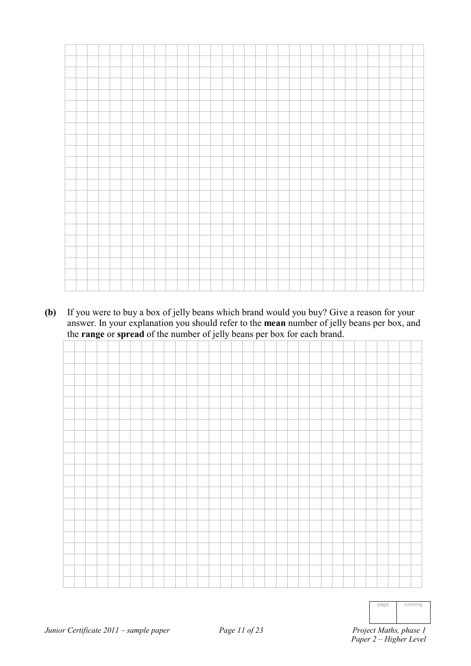**(b)** If you were to buy a box of jelly beans which brand would you buy? Give a reason for your answer. In your explanation you should refer to the **mean** number of jelly beans per box, and the **range** or **spread** of the number of jelly beans per box for each brand.



| page                                                     | running |
|----------------------------------------------------------|---------|
| $M_{\alpha+1,\alpha}$<br>$\frac{1}{2}$ and $\frac{1}{2}$ | $h - h$ |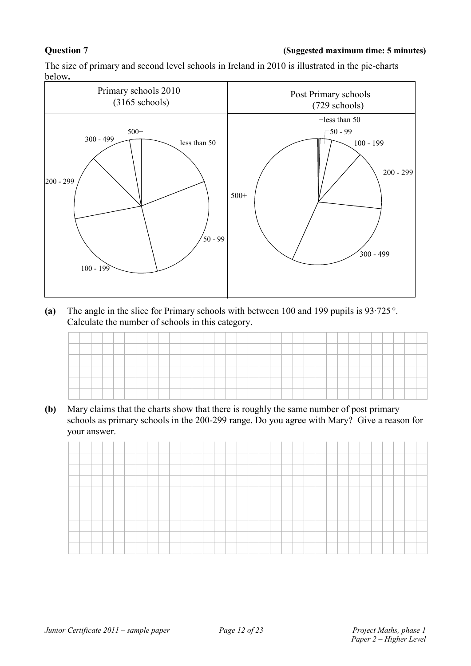### **Question 7 (Suggested maximum time: 5 minutes)**

The size of primary and second level schools in Ireland in 2010 is illustrated in the pie-charts below**.**



**(a)** The angle in the slice for Primary schools with between 100 and 199 pupils is 93·725 °. Calculate the number of schools in this category.

**(b)** Mary claims that the charts show that there is roughly the same number of post primary schools as primary schools in the 200-299 range. Do you agree with Mary? Give a reason for your answer.

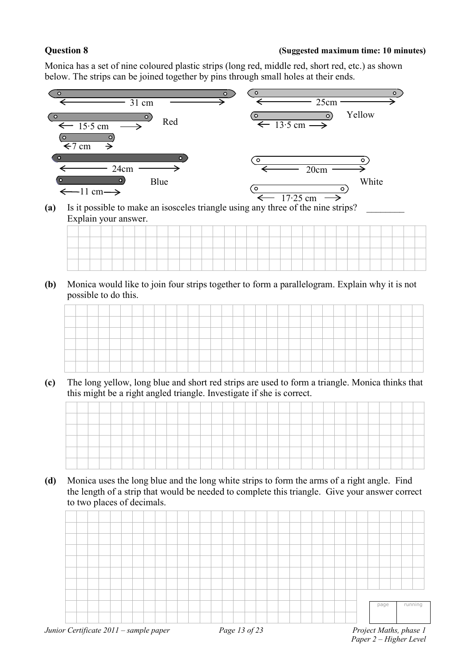### **Question 8 (Suggested maximum time: 10 minutes)**

Monica has a set of nine coloured plastic strips (long red, middle red, short red, etc.) as shown below. The strips can be joined together by pins through small holes at their ends.



**(a)** Is it possible to make an isosceles triangle using any three of the nine strips? \_\_\_\_\_\_\_\_ Explain your answer.

| -- |         |         |           |         |         | the contract of the contract of the contract of |         |          |         |          |           |          |           |        |          | the contract of the contract of the contract of the contract of |          |                               |         |         |  |  |         |          |  |  |
|----|---------|---------|-----------|---------|---------|-------------------------------------------------|---------|----------|---------|----------|-----------|----------|-----------|--------|----------|-----------------------------------------------------------------|----------|-------------------------------|---------|---------|--|--|---------|----------|--|--|
|    |         |         |           |         |         |                                                 |         |          |         |          |           |          |           |        |          |                                                                 |          |                               |         |         |  |  |         |          |  |  |
| -  | _______ | _______ | _________ | _______ | _______ |                                                 | _______ | ________ | _______ | ________ | _________ | ________ | _________ | ______ | ________ | ________                                                        | ________ | the control of the control of | _______ | _______ |  |  | _______ | ________ |  |  |

**(b)** Monica would like to join four strips together to form a parallelogram. Explain why it is not possible to do this.

|        |  |  |  |  |  |  |  |  |  |  |  |  |     |  | _____ |  |  |
|--------|--|--|--|--|--|--|--|--|--|--|--|--|-----|--|-------|--|--|
|        |  |  |  |  |  |  |  |  |  |  |  |  |     |  |       |  |  |
| -      |  |  |  |  |  |  |  |  |  |  |  |  |     |  |       |  |  |
|        |  |  |  |  |  |  |  |  |  |  |  |  |     |  |       |  |  |
| ______ |  |  |  |  |  |  |  |  |  |  |  |  | ___ |  |       |  |  |
|        |  |  |  |  |  |  |  |  |  |  |  |  |     |  |       |  |  |
|        |  |  |  |  |  |  |  |  |  |  |  |  |     |  |       |  |  |
|        |  |  |  |  |  |  |  |  |  |  |  |  |     |  |       |  |  |
|        |  |  |  |  |  |  |  |  |  |  |  |  |     |  |       |  |  |

**(c)** The long yellow, long blue and short red strips are used to form a triangle. Monica thinks that this might be a right angled triangle. Investigate if she is correct.

| ____           |  |  |  |  |  |  |  |  |  |  |  |  |  |  |  |  |
|----------------|--|--|--|--|--|--|--|--|--|--|--|--|--|--|--|--|
| _              |  |  |  |  |  |  |  |  |  |  |  |  |  |  |  |  |
| _              |  |  |  |  |  |  |  |  |  |  |  |  |  |  |  |  |
| <b>Science</b> |  |  |  |  |  |  |  |  |  |  |  |  |  |  |  |  |

**(d)** Monica uses the long blue and the long white strips to form the arms of a right angle. Find the length of a strip that would be needed to complete this triangle. Give your answer correct to two places of decimals.

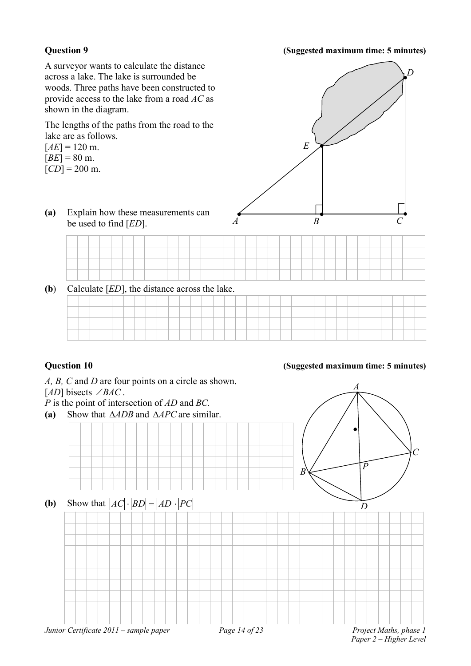### **Question 9 (Suggested maximum time: 5 minutes)**

*A B C E D* A surveyor wants to calculate the distance across a lake. The lake is surrounded be woods. Three paths have been constructed to provide access to the lake from a road *AC* as shown in the diagram. The lengths of the paths from the road to the lake are as follows.  $[AE] = 120$  m.  $[BE] = 80$  m.  $[CD] = 200$  m. **(a)** Explain how these measurements can be used to find [*ED*]. **(b**) Calculate [*ED*], the distance across the lake.

# *A, B, C* and *D* are four points on a circle as shown. [*AD*] bisects ∠*BAC* . *P* is the point of intersection of *AD* and *BC.* **(a)** Show that ∆*ADB* and ∆*APC* are similar. **(b)** Show that  $|AC| \cdot |BD| = |AD| \cdot |PC|$ *A B C D P*

*Junior Certificate 2011 – sample paper Page 14 of 23 Project Maths, phase 1*

*Paper 2 – Higher Level*

### **Question 10 (Suggested maximum time: 5 minutes)**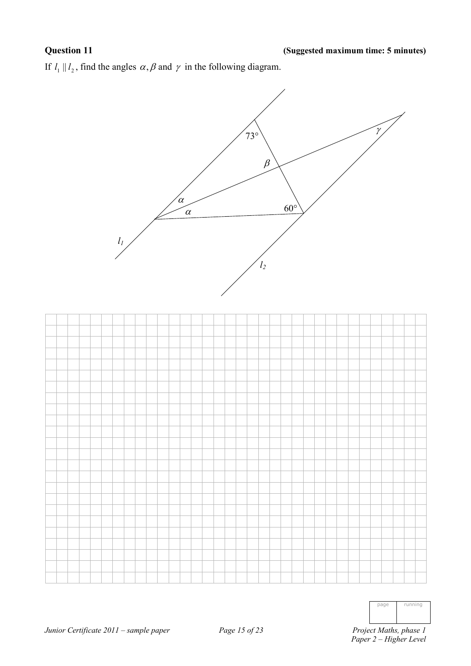If  $l_1 || l_2$ , find the angles  $\alpha, \beta$  and  $\gamma$  in the following diagram.



| page<br>- 2 | running |
|-------------|---------|
|             |         |
|             |         |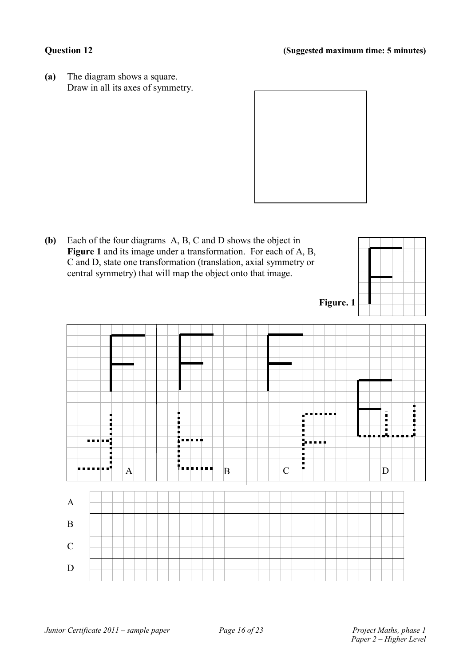**(a)** The diagram shows a square. Draw in all its axes of symmetry.



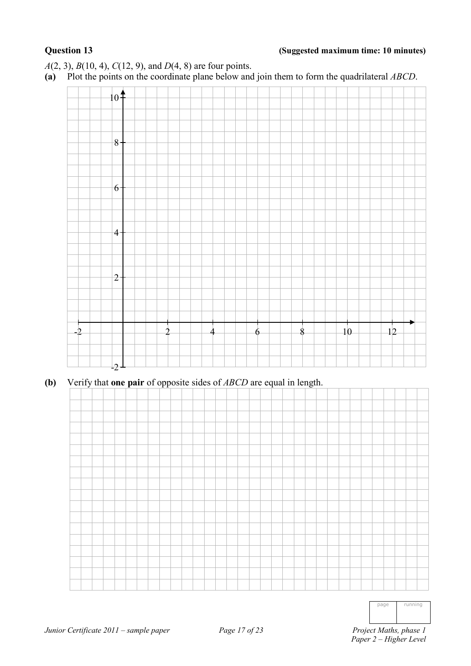### **Question 13 (Suggested maximum time: 10 minutes)**

*A*(2, 3), *B*(10, 4), *C*(12, 9), and *D*(4, 8) are four points.

**(a)** Plot the points on the coordinate plane below and join them to form the quadrilateral *ABCD*.



**(b)** Verify that **one pair** of opposite sides of *ABCD* are equal in length.



| nage | running |
|------|---------|
|------|---------|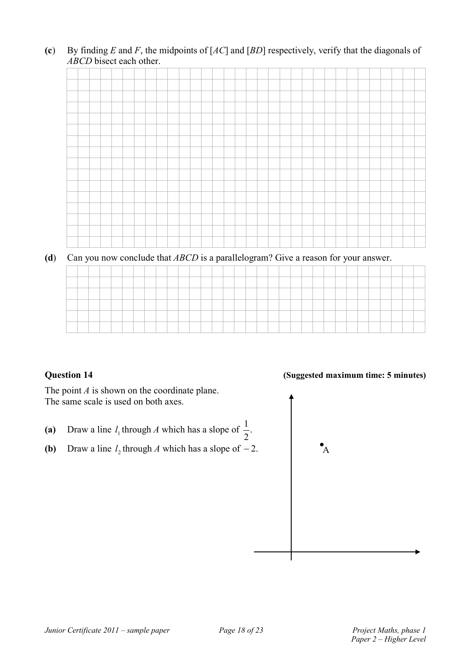**(c**) By finding *E* and *F*, the midpoints of [*AC*] and [*BD*] respectively, verify that the diagonals of *ABCD* bisect each other.



**(d**) Can you now conclude that *ABCD* is a parallelogram? Give a reason for your answer.

The point *A* is shown on the coordinate plane. The same scale is used on both axes.

- (a) Draw a line  $l_1$  through *A* which has a slope of  $\frac{1}{2}$ . 1
- **(b)** Draw a line  $l_2$  through *A* which has a slope of −2.  $\bullet$  A

### **Question 14 (Suggested maximum time: 5 minutes)**

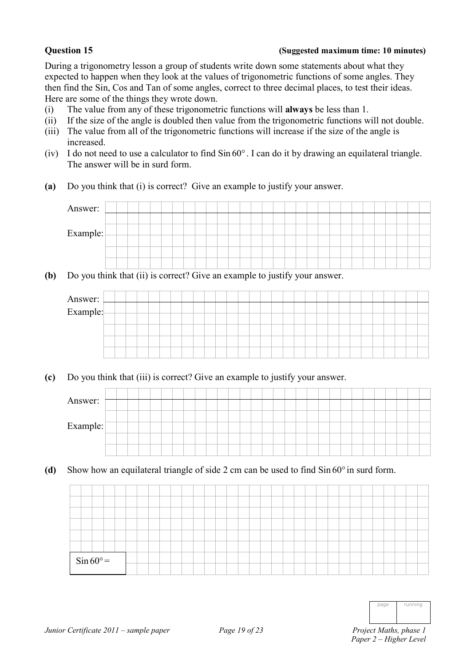### **Question 15 (Suggested maximum time: 10 minutes)**

During a trigonometry lesson a group of students write down some statements about what they expected to happen when they look at the values of trigonometric functions of some angles. They then find the Sin, Cos and Tan of some angles, correct to three decimal places, to test their ideas. Here are some of the things they wrote down.

- (i) The value from any of these trigonometric functions will **always** be less than 1.
- (ii) If the size of the angle is doubled then value from the trigonometric functions will not double.
- (iii) The value from all of the trigonometric functions will increase if the size of the angle is increased.
- (iv) I do not need to use a calculator to find Sin 60° . I can do it by drawing an equilateral triangle. The answer will be in surd form.
- **(a)** Do you think that (i) is correct? Give an example to justify your answer.



**(b)** Do you think that (ii) is correct? Give an example to justify your answer.



**(c)** Do you think that (iii) is correct? Give an example to justify your answer.

| Answer:  |  |  |  |  |  |  |  |  |  |  |  |  |  |  |  |
|----------|--|--|--|--|--|--|--|--|--|--|--|--|--|--|--|
|          |  |  |  |  |  |  |  |  |  |  |  |  |  |  |  |
| Example: |  |  |  |  |  |  |  |  |  |  |  |  |  |  |  |
|          |  |  |  |  |  |  |  |  |  |  |  |  |  |  |  |
|          |  |  |  |  |  |  |  |  |  |  |  |  |  |  |  |

**(d)** Show how an equilateral triangle of side 2 cm can be used to find Sin 60° in surd form.

|  | $\sin 60^\circ =$ |  |  |  |  |  |  |  |  |  |  |  |  |  |  |  |
|--|-------------------|--|--|--|--|--|--|--|--|--|--|--|--|--|--|--|
|  |                   |  |  |  |  |  |  |  |  |  |  |  |  |  |  |  |

| page | running |
|------|---------|
|      |         |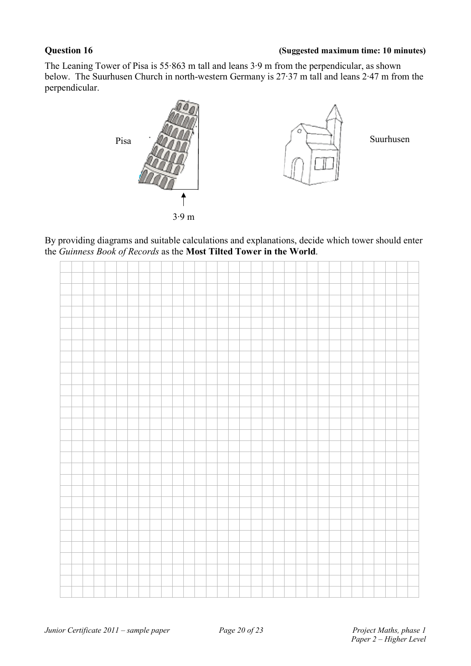### **Question 16 (Suggested maximum time: 10 minutes)**

The Leaning Tower of Pisa is 55·863 m tall and leans 3·9 m from the perpendicular, as shown below. The Suurhusen Church in north-western Germany is 27·37 m tall and leans 2·47 m from the perpendicular.



By providing diagrams and suitable calculations and explanations, decide which tower should enter the *Guinness Book of Records* as the **Most Tilted Tower in the World**.

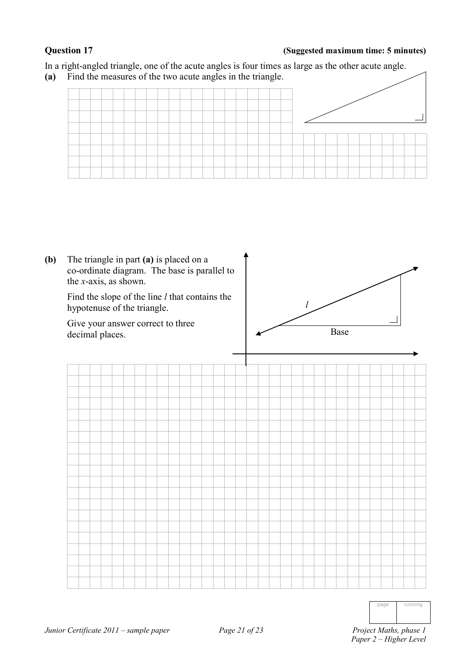### **Question 17 (Suggested maximum time: 5 minutes)**

In a right-angled triangle, one of the acute angles is four times as large as the other acute angle.

**(a)** Find the measures of the two acute angles in the triangle.



| Project Maths, phase 1 |  |
|------------------------|--|
| Paper 2 – Higher Level |  |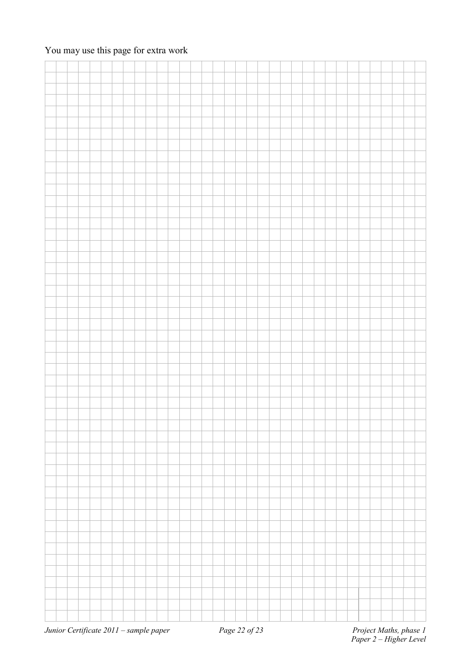### You may use this page for extra work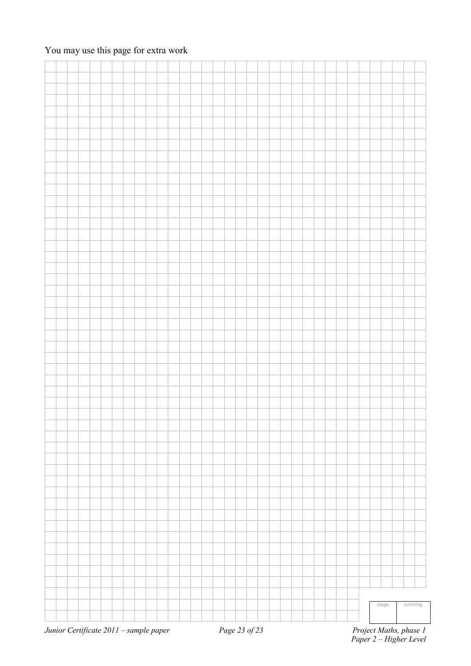### You may use this page for extra work

|  |  |  |  |                                        |  |  |  |               |  |  |  |  |                        |  |  | page |  | running |  |  |  |
|--|--|--|--|----------------------------------------|--|--|--|---------------|--|--|--|--|------------------------|--|--|------|--|---------|--|--|--|
|  |  |  |  |                                        |  |  |  |               |  |  |  |  |                        |  |  |      |  |         |  |  |  |
|  |  |  |  |                                        |  |  |  |               |  |  |  |  |                        |  |  |      |  |         |  |  |  |
|  |  |  |  | Junior Certificate 2011 - sample paper |  |  |  | Page 23 of 23 |  |  |  |  | Project Maths, phase 1 |  |  |      |  |         |  |  |  |